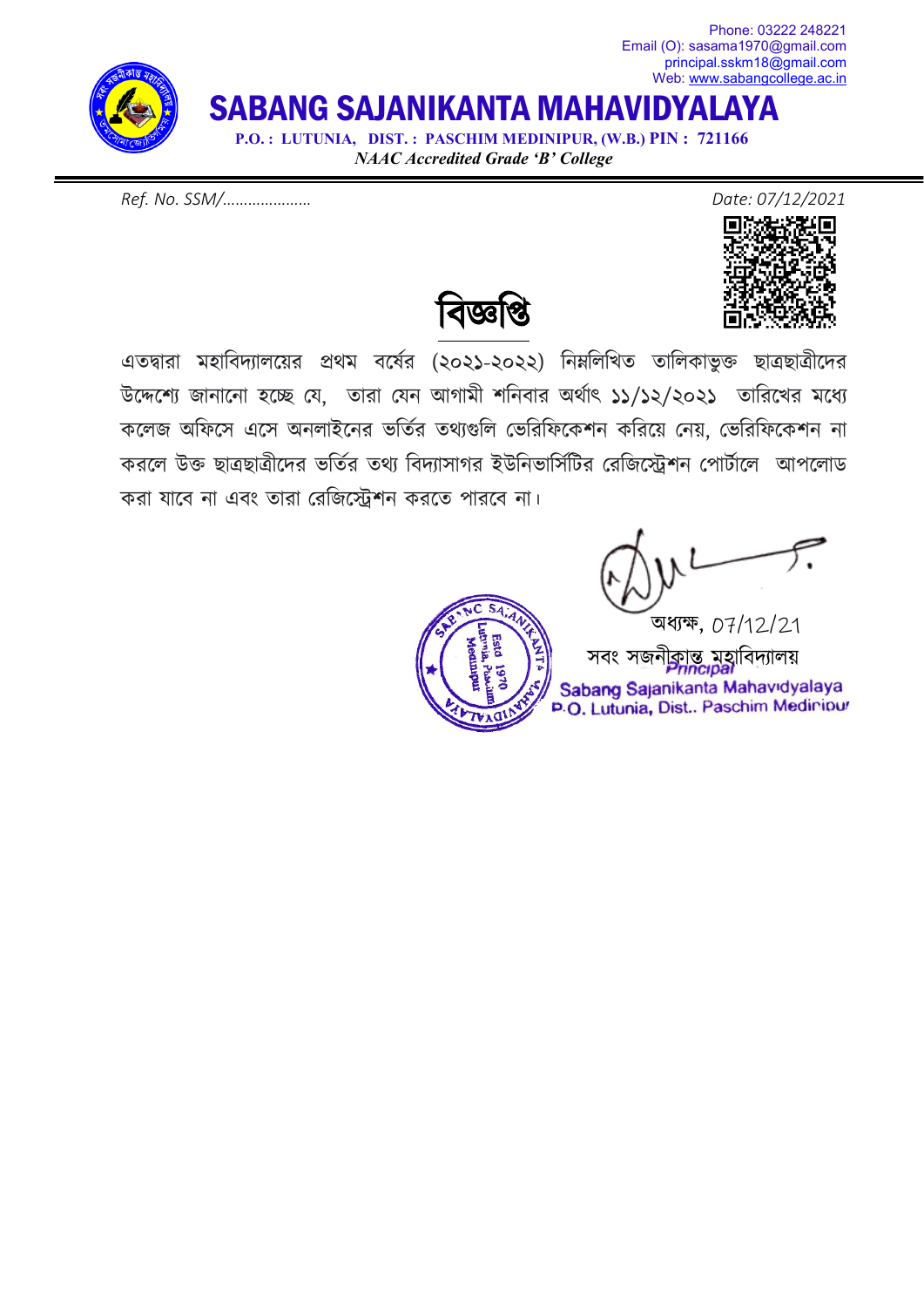Email (O): sasama1970@gmail.com [principal.sskm18@gmail.com](mailto:principal.sskm18@gmail.com) Web: [www.sabangcollege.ac.in](http://www.sabangcollege.ac.in/) SABANG SAJANIKANTA MAHAVIDYALAYA  **P.O. : LUTUNIA, DIST. : PASCHIM MEDINIPUR, (W.B.) PIN : 721166**

*NAAC Accredited Grade 'B' College*

*Ref. No. SSM/………………… Date: 07/12/2021*



Phone: 03222 248221

বিজ্ঞাপ্ত

এতদ্বারা মহাবিদ্যালয়ের প্রথম বর্ষের (২০২১-২০২২) নিম্নলিখিত তালিকাভুক্ত ছাত্রছাত্রীদের উদ্দেশ্যে জানানাে হচ্ছে যে, তারা যেন আগামী শনিবার অর্থাৎ ১১/১২/২০২১ তারিখের মধ্যে কেলজ অিফেস এেস অনলাইেনর ভিতর্র তথয্গুিল েভিরিফেকশন কিরেয় েনয়, েভিরিফেকশন না করলে উক্ত ছাত্রছাত্রীদের ভর্তির তথ্য বিদ্যাসাগর ইউনিভার্সিটির রেজিস্ট্রেশন পোর্টালে আপলোড করা যােব না এবং তারা েরিজে�শন করেত পারেব না।

 অধয্ক্ষ, 07/12/21 সবং সজনীকান্ত মহাবিদ্যালয় Sabang Sajanikanta Mahavidyalaya P.O. Lutunia, Dist.. Paschim Mediniour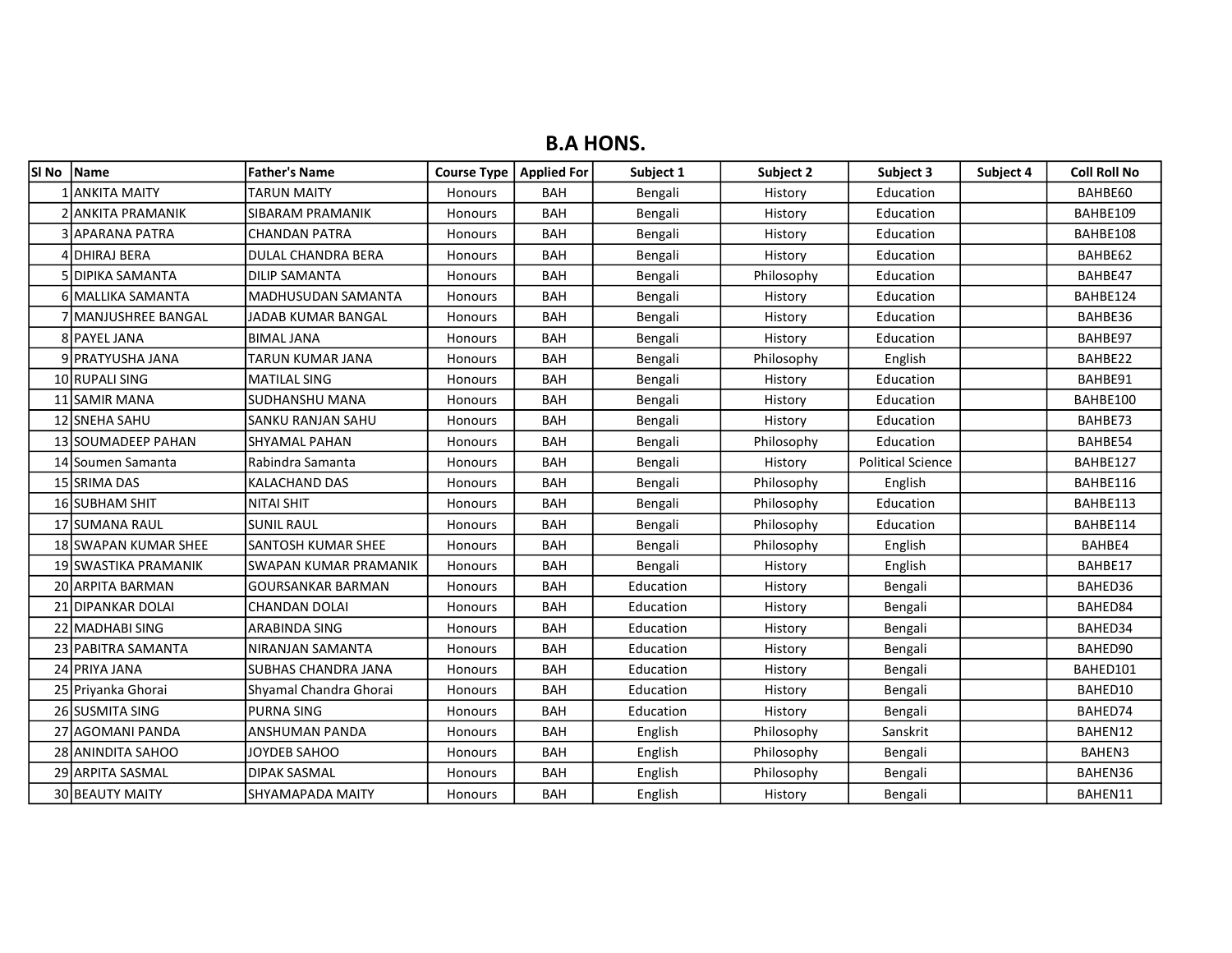## B.A HONS.

| lSI No | Name                 | <b>Father's Name</b>      | Course Type   Applied For |            | Subject 1 | Subject 2  | Subject 3                | Subject 4 | <b>Coll Roll No</b> |
|--------|----------------------|---------------------------|---------------------------|------------|-----------|------------|--------------------------|-----------|---------------------|
|        | IANKITA MAITY        | <b>TARUN MAITY</b>        | Honours                   | <b>BAH</b> | Bengali   | History    | Education                |           | BAHBE60             |
|        | 2 ANKITA PRAMANIK    | SIBARAM PRAMANIK          | Honours                   | <b>BAH</b> | Bengali   | History    | Education                |           | BAHBE109            |
|        | 3 IAPARANA PATRA     | <b>CHANDAN PATRA</b>      | Honours                   | <b>BAH</b> | Bengali   | History    | Education                |           | BAHBE108            |
|        | 4 DHIRAJ BERA        | <b>DULAL CHANDRA BERA</b> | Honours                   | <b>BAH</b> | Bengali   | History    | Education                |           | BAHBE62             |
|        | 5 IDIPIKA SAMANTA    | <b>DILIP SAMANTA</b>      | Honours                   | <b>BAH</b> | Bengali   | Philosophy | Education                |           | BAHBE47             |
|        | 6 MALLIKA SAMANTA    | <b>MADHUSUDAN SAMANTA</b> | Honours                   | <b>BAH</b> | Bengali   | History    | Education                |           | BAHBE124            |
|        | 7 İMANJUSHREE BANGAL | JADAB KUMAR BANGAL        | Honours                   | <b>BAH</b> | Bengali   | History    | Education                |           | BAHBE36             |
|        | 8 PAYEL JANA         | <b>BIMAL JANA</b>         | Honours                   | <b>BAH</b> | Bengali   | History    | Education                |           | BAHBE97             |
|        | 9 PRATYUSHA JANA     | TARUN KUMAR JANA          | <b>Honours</b>            | <b>BAH</b> | Bengali   | Philosophy | English                  |           | BAHBE22             |
|        | 10 RUPALI SING       | <b>MATILAL SING</b>       | Honours                   | <b>BAH</b> | Bengali   | History    | Education                |           | BAHBE91             |
|        | 11 SAMIR MANA        | SUDHANSHU MANA            | Honours                   | <b>BAH</b> | Bengali   | History    | Education                |           | BAHBE100            |
|        | 12 SNEHA SAHU        | SANKU RANJAN SAHU         | Honours                   | <b>BAH</b> | Bengali   | History    | Education                |           | BAHBE73             |
|        | 13 SOUMADEEP PAHAN   | <b>SHYAMAL PAHAN</b>      | Honours                   | <b>BAH</b> | Bengali   | Philosophy | Education                |           | BAHBE54             |
|        | 14 Soumen Samanta    | Rabindra Samanta          | Honours                   | <b>BAH</b> | Bengali   | History    | <b>Political Science</b> |           | BAHBE127            |
|        | 15 SRIMA DAS         | KALACHAND DAS             | Honours                   | <b>BAH</b> | Bengali   | Philosophy | English                  |           | BAHBE116            |
|        | 16 SUBHAM SHIT       | <b>NITAI SHIT</b>         | Honours                   | <b>BAH</b> | Bengali   | Philosophy | Education                |           | BAHBE113            |
|        | 17 SUMANA RAUL       | <b>SUNIL RAUL</b>         | Honours                   | <b>BAH</b> | Bengali   | Philosophy | Education                |           | BAHBE114            |
|        | 18 SWAPAN KUMAR SHEE | SANTOSH KUMAR SHEE        | Honours                   | <b>BAH</b> | Bengali   | Philosophy | English                  |           | BAHBE4              |
|        | 19 SWASTIKA PRAMANIK | SWAPAN KUMAR PRAMANIK     | Honours                   | <b>BAH</b> | Bengali   | History    | English                  |           | BAHBE17             |
|        | 20 ARPITA BARMAN     | <b>GOURSANKAR BARMAN</b>  | Honours                   | <b>BAH</b> | Education | History    | Bengali                  |           | BAHED36             |
|        | 21 DIPANKAR DOLAI    | <b>CHANDAN DOLAI</b>      | Honours                   | <b>BAH</b> | Education | History    | Bengali                  |           | BAHED84             |
|        | 22 MADHABI SING      | ARABINDA SING             | Honours                   | <b>BAH</b> | Education | History    | Bengali                  |           | BAHED34             |
|        | 23 PABITRA SAMANTA   | NIRANJAN SAMANTA          | Honours                   | <b>BAH</b> | Education | History    | Bengali                  |           | BAHED90             |
|        | 24 PRIYA JANA        | SUBHAS CHANDRA JANA       | Honours                   | <b>BAH</b> | Education | History    | Bengali                  |           | BAHED101            |
|        | 25 Priyanka Ghorai   | Shyamal Chandra Ghorai    | Honours                   | <b>BAH</b> | Education | History    | Bengali                  |           | BAHED10             |
|        | 26 SUSMITA SING      | <b>PURNA SING</b>         | Honours                   | <b>BAH</b> | Education | History    | Bengali                  |           | BAHED74             |
|        | 27 AGOMANI PANDA     | ANSHUMAN PANDA            | Honours                   | <b>BAH</b> | English   | Philosophy | Sanskrit                 |           | BAHEN12             |
|        | 28 ANINDITA SAHOO    | JOYDEB SAHOO              | Honours                   | <b>BAH</b> | English   | Philosophy | Bengali                  |           | BAHEN3              |
|        | 29 ARPITA SASMAL     | DIPAK SASMAL              | Honours                   | <b>BAH</b> | English   | Philosophy | Bengali                  |           | BAHEN36             |
|        | 30 BEAUTY MAITY      | SHYAMAPADA MAITY          | Honours                   | <b>BAH</b> | English   | History    | Bengali                  |           | BAHEN11             |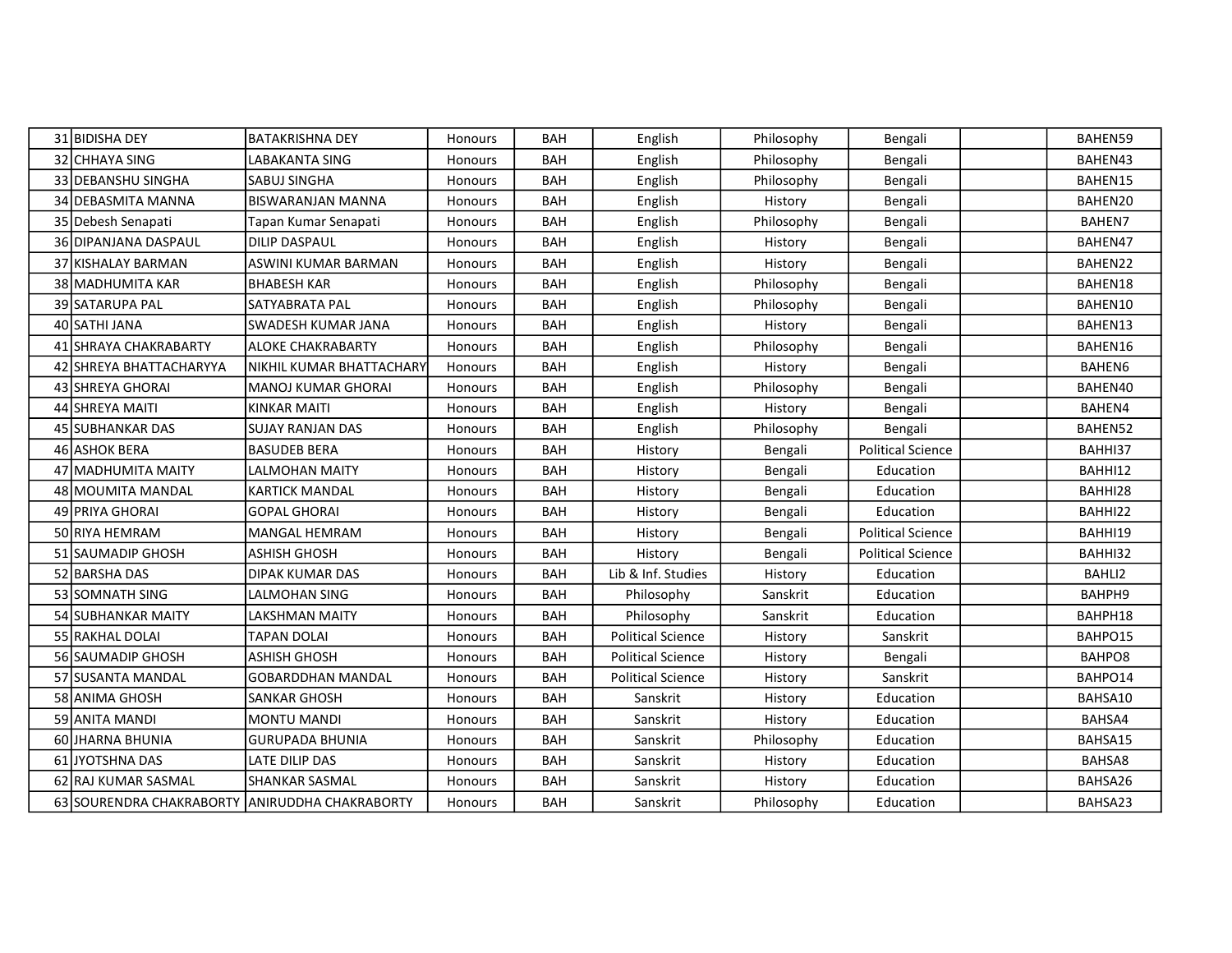| 31 BIDISHA DEY                                 | <b>BATAKRISHNA DEY</b>    | <b>Honours</b> | <b>BAH</b> | English                  | Philosophy | Bengali                  | BAHEN59 |
|------------------------------------------------|---------------------------|----------------|------------|--------------------------|------------|--------------------------|---------|
| 32 CHHAYA SING                                 | LABAKANTA SING            | Honours        | <b>BAH</b> | English                  | Philosophy | Bengali                  | BAHEN43 |
| 33 DEBANSHU SINGHA                             | <b>SABUJ SINGHA</b>       | <b>Honours</b> | <b>BAH</b> | English                  | Philosophy | Bengali                  | BAHEN15 |
| 34 DEBASMITA MANNA                             | <b>BISWARANJAN MANNA</b>  | Honours        | <b>BAH</b> | English                  | History    | Bengali                  | BAHEN20 |
| 35 Debesh Senapati                             | Tapan Kumar Senapati      | Honours        | <b>BAH</b> | English                  | Philosophy | Bengali                  | BAHEN7  |
| 36 DIPANJANA DASPAUL                           | <b>DILIP DASPAUL</b>      | Honours        | <b>BAH</b> | English                  | History    | Bengali                  | BAHEN47 |
| 37 KISHALAY BARMAN                             | ASWINI KUMAR BARMAN       | <b>Honours</b> | <b>BAH</b> | English                  | History    | Bengali                  | BAHEN22 |
| 38 MADHUMITA KAR                               | <b>BHABESH KAR</b>        | Honours        | <b>BAH</b> | English                  | Philosophy | Bengali                  | BAHEN18 |
| 39 SATARUPA PAL                                | SATYABRATA PAL            | <b>Honours</b> | <b>BAH</b> | English                  | Philosophy | Bengali                  | BAHEN10 |
| 40 SATHI JANA                                  | <b>SWADESH KUMAR JANA</b> | Honours        | <b>BAH</b> | English                  | History    | Bengali                  | BAHEN13 |
| 41 SHRAYA CHAKRABARTY                          | <b>ALOKE CHAKRABARTY</b>  | Honours        | <b>BAH</b> | English                  | Philosophy | Bengali                  | BAHEN16 |
| 42 SHREYA BHATTACHARYYA                        | NIKHIL KUMAR BHATTACHARY  | Honours        | <b>BAH</b> | English                  | History    | Bengali                  | BAHEN6  |
| 43 SHREYA GHORAI                               | <b>MANOJ KUMAR GHORAI</b> | Honours        | <b>BAH</b> | English                  | Philosophy | Bengali                  | BAHEN40 |
| 44 SHREYA MAITI                                | <b>KINKAR MAITI</b>       | Honours        | <b>BAH</b> | English                  | History    | Bengali                  | BAHEN4  |
| 45 SUBHANKAR DAS                               | SUJAY RANJAN DAS          | Honours        | <b>BAH</b> | English                  | Philosophy | Bengali                  | BAHEN52 |
| 46 ASHOK BERA                                  | <b>BASUDEB BERA</b>       | Honours        | BAH        | History                  | Bengali    | <b>Political Science</b> | BAHHI37 |
| 47 MADHUMITA MAITY                             | <b>LALMOHAN MAITY</b>     | <b>Honours</b> | <b>BAH</b> | History                  | Bengali    | Education                | BAHHI12 |
| 48 MOUMITA MANDAL                              | <b>KARTICK MANDAL</b>     | Honours        | <b>BAH</b> | History                  | Bengali    | Education                | BAHHI28 |
| 49 IPRIYA GHORAI                               | <b>GOPAL GHORAI</b>       | Honours        | <b>BAH</b> | History                  | Bengali    | Education                | BAHHI22 |
| 50 RIYA HEMRAM                                 | MANGAL HEMRAM             | Honours        | <b>BAH</b> | History                  | Bengali    | <b>Political Science</b> | BAHHI19 |
| 51 SAUMADIP GHOSH                              | <b>ASHISH GHOSH</b>       | Honours        | <b>BAH</b> | History                  | Bengali    | <b>Political Science</b> | BAHHI32 |
| 52 BARSHA DAS                                  | <b>DIPAK KUMAR DAS</b>    | Honours        | <b>BAH</b> | Lib & Inf. Studies       | History    | Education                | BAHLI2  |
| 53 SOMNATH SING                                | LALMOHAN SING             | Honours        | <b>BAH</b> | Philosophy               | Sanskrit   | Education                | BAHPH9  |
| 54 SUBHANKAR MAITY                             | LAKSHMAN MAITY            | <b>Honours</b> | <b>BAH</b> | Philosophy               | Sanskrit   | Education                | BAHPH18 |
| 55 RAKHAL DOLAI                                | <b>TAPAN DOLAI</b>        | Honours        | <b>BAH</b> | <b>Political Science</b> | History    | Sanskrit                 | BAHPO15 |
| 56 SAUMADIP GHOSH                              | <b>ASHISH GHOSH</b>       | Honours        | <b>BAH</b> | <b>Political Science</b> | History    | Bengali                  | BAHPO8  |
| 57 SUSANTA MANDAL                              | <b>GOBARDDHAN MANDAL</b>  | Honours        | <b>BAH</b> | <b>Political Science</b> | History    | Sanskrit                 | BAHPO14 |
| 58 JANIMA GHOSH                                | SANKAR GHOSH              | Honours        | BAH        | Sanskrit                 | History    | Education                | BAHSA10 |
| 59 ANITA MANDI                                 | <b>MONTU MANDI</b>        | Honours        | BAH        | Sanskrit                 | History    | Education                | BAHSA4  |
| 60 JHARNA BHUNIA                               | <b>GURUPADA BHUNIA</b>    | <b>Honours</b> | <b>BAH</b> | Sanskrit                 | Philosophy | Education                | BAHSA15 |
| 61 JYOTSHNA DAS                                | LATE DILIP DAS            | Honours        | <b>BAH</b> | Sanskrit                 | History    | Education                | BAHSA8  |
| 62 RAJ KUMAR SASMAL                            | <b>SHANKAR SASMAL</b>     | Honours        | <b>BAH</b> | Sanskrit                 | History    | Education                | BAHSA26 |
| 63 SOURENDRA CHAKRABORTY ANIRUDDHA CHAKRABORTY |                           | Honours        | <b>BAH</b> | Sanskrit                 | Philosophy | Education                | BAHSA23 |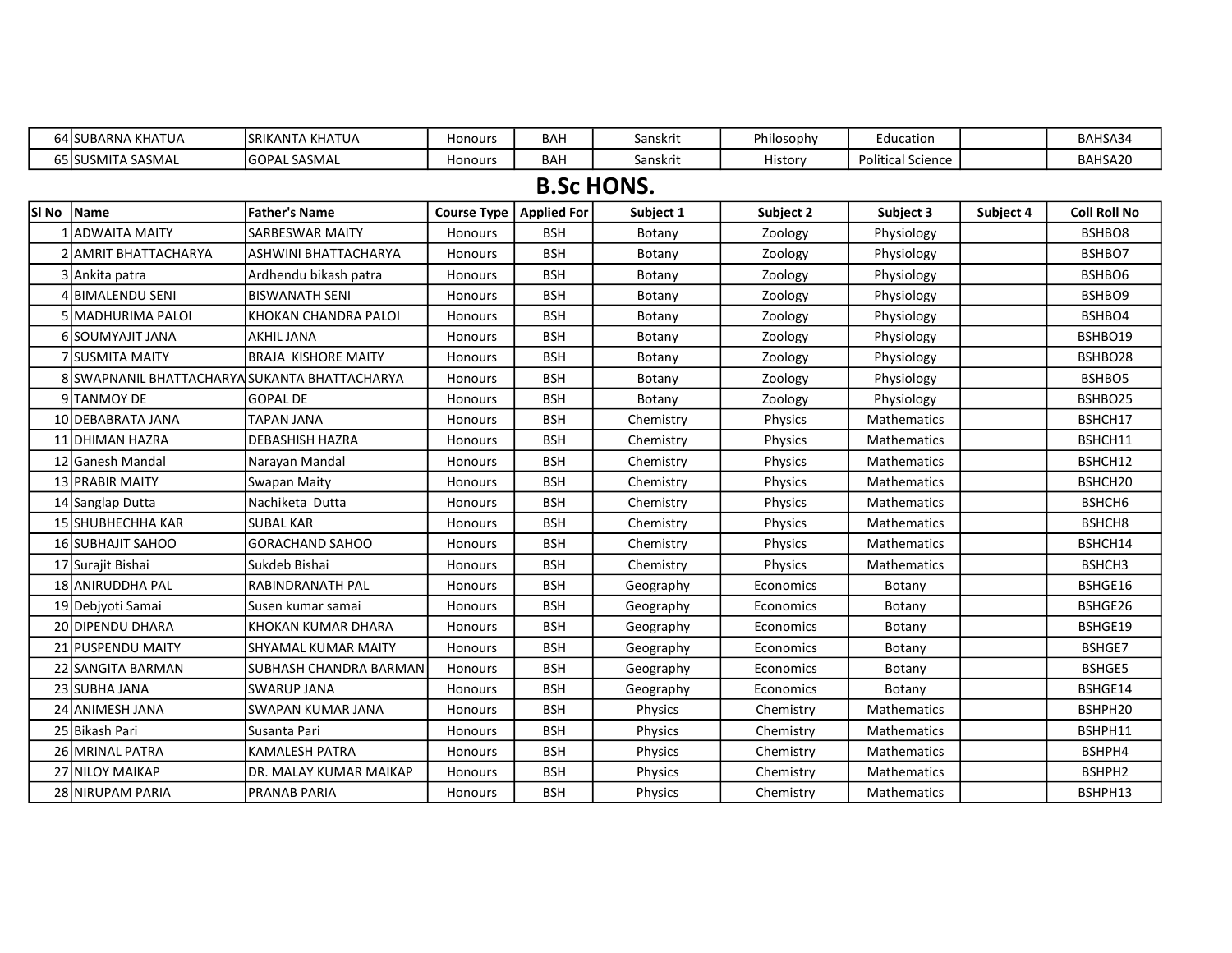|       | 64 SUBARNA KHATUA                             | <b>SRIKANTA KHATUA</b>      | Honours                   | <b>BAH</b>        | Sanskrit  | Philosophy | Education                |           | BAHSA34             |
|-------|-----------------------------------------------|-----------------------------|---------------------------|-------------------|-----------|------------|--------------------------|-----------|---------------------|
|       | 65 SUSMITA SASMAL                             | <b>GOPAL SASMAL</b>         | Honours                   | <b>BAH</b>        | Sanskrit  | History    | <b>Political Science</b> |           | BAHSA20             |
|       |                                               |                             |                           | <b>B.Sc HONS.</b> |           |            |                          |           |                     |
| SI No | <b>Name</b>                                   | <b>Father's Name</b>        | Course Type   Applied For |                   | Subject 1 | Subject 2  | Subject 3                | Subject 4 | <b>Coll Roll No</b> |
|       | <b>ADWAITA MAITY</b>                          | <b>SARBESWAR MAITY</b>      | Honours                   | <b>BSH</b>        | Botany    | Zoology    | Physiology               |           | BSHBO8              |
|       | 2 AMRIT BHATTACHARYA                          | <b>ASHWINI BHATTACHARYA</b> | Honours                   | <b>BSH</b>        | Botany    | Zoology    | Physiology               |           | BSHBO7              |
|       | Ankita patra                                  | Ardhendu bikash patra       | Honours                   | <b>BSH</b>        | Botany    | Zoology    | Physiology               |           | BSHBO6              |
|       | 4 BIMALENDU SENI                              | IBISWANATH SENI             | <b>Honours</b>            | <b>BSH</b>        | Botany    | Zoology    | Physiology               |           | BSHBO9              |
|       | 5 MADHURIMA PALOI                             | KHOKAN CHANDRA PALOI        | Honours                   | <b>BSH</b>        | Botany    | Zoology    | Physiology               |           | BSHBO4              |
|       | 6 SOUMYAJIT JANA                              | <b>AKHIL JANA</b>           | Honours                   | <b>BSH</b>        | Botany    | Zoology    | Physiology               |           | BSHBO19             |
|       | 'lsusmita maity                               | <b>BRAJA KISHORE MAITY</b>  | Honours                   | <b>BSH</b>        | Botany    | Zoology    | Physiology               |           | BSHBO28             |
|       | 8 SWAPNANIL BHATTACHARYA SUKANTA BHATTACHARYA |                             | Honours                   | <b>BSH</b>        | Botany    | Zoology    | Physiology               |           | BSHBO5              |
|       | 9 TANMOY DE                                   | <b>GOPAL DE</b>             | Honours                   | <b>BSH</b>        | Botany    | Zoology    | Physiology               |           | BSHBO25             |
|       | 10 DEBABRATA JANA                             | TAPAN JANA                  | Honours                   | <b>BSH</b>        | Chemistry | Physics    | Mathematics              |           | BSHCH17             |
|       | 11 DHIMAN HAZRA                               | <b>DEBASHISH HAZRA</b>      | Honours                   | <b>BSH</b>        | Chemistry | Physics    | <b>Mathematics</b>       |           | BSHCH11             |
|       | 12 Ganesh Mandal                              | Narayan Mandal              | Honours                   | <b>BSH</b>        | Chemistry | Physics    | <b>Mathematics</b>       |           | BSHCH12             |
|       | 13 PRABIR MAITY                               | Swapan Maity                | Honours                   | <b>BSH</b>        | Chemistry | Physics    | Mathematics              |           | BSHCH20             |
|       | 14 Sanglap Dutta                              | Nachiketa Dutta             | Honours                   | <b>BSH</b>        | Chemistry | Physics    | Mathematics              |           | BSHCH6              |
|       | 15 SHUBHECHHA KAR                             | <b>SUBAL KAR</b>            | Honours                   | <b>BSH</b>        | Chemistry | Physics    | Mathematics              |           | BSHCH8              |
|       | <b>16 SUBHAJIT SAHOO</b>                      | <b>GORACHAND SAHOO</b>      | Honours                   | <b>BSH</b>        | Chemistry | Physics    | Mathematics              |           | BSHCH14             |
|       | 17 Surajit Bishai                             | Sukdeb Bishai               | Honours                   | <b>BSH</b>        | Chemistry | Physics    | Mathematics              |           | BSHCH3              |
|       | 18 ANIRUDDHA PAL                              | RABINDRANATH PAL            | Honours                   | <b>BSH</b>        | Geography | Economics  | Botany                   |           | BSHGE16             |
|       | 19 Debiyoti Samai                             | Susen kumar samai           | Honours                   | <b>BSH</b>        | Geography | Economics  | Botany                   |           | BSHGE26             |
|       | 20 DIPENDU DHARA                              | KHOKAN KUMAR DHARA          | Honours                   | <b>BSH</b>        | Geography | Economics  | Botany                   |           | BSHGE19             |
|       | 21 PUSPENDU MAITY                             | <b>SHYAMAL KUMAR MAITY</b>  | Honours                   | <b>BSH</b>        | Geography | Economics  | Botany                   |           | BSHGE7              |
|       | 22 ISANGITA BARMAN                            | SUBHASH CHANDRA BARMAN      | Honours                   | <b>BSH</b>        | Geography | Economics  | Botany                   |           | <b>BSHGE5</b>       |
|       | 23 SUBHA JANA                                 | <b>SWARUP JANA</b>          | Honours                   | <b>BSH</b>        | Geography | Economics  | Botany                   |           | BSHGE14             |
|       | 24 ANIMESH JANA                               | SWAPAN KUMAR JANA           | <b>Honours</b>            | <b>BSH</b>        | Physics   | Chemistry  | <b>Mathematics</b>       |           | BSHPH20             |
|       | 25 Bikash Pari                                | Susanta Pari                | Honours                   | <b>BSH</b>        | Physics   | Chemistry  | <b>Mathematics</b>       |           | BSHPH11             |
|       | 26 MRINAL PATRA                               | KAMALESH PATRA              | Honours                   | <b>BSH</b>        | Physics   | Chemistry  | <b>Mathematics</b>       |           | BSHPH4              |
|       | 27 NILOY MAIKAP                               | DR. MALAY KUMAR MAIKAP      | Honours                   | <b>BSH</b>        | Physics   | Chemistry  | <b>Mathematics</b>       |           | BSHPH2              |
|       | 28 NIRUPAM PARIA                              | <b>PRANAB PARIA</b>         | Honours                   | <b>BSH</b>        | Physics   | Chemistry  | <b>Mathematics</b>       |           | BSHPH13             |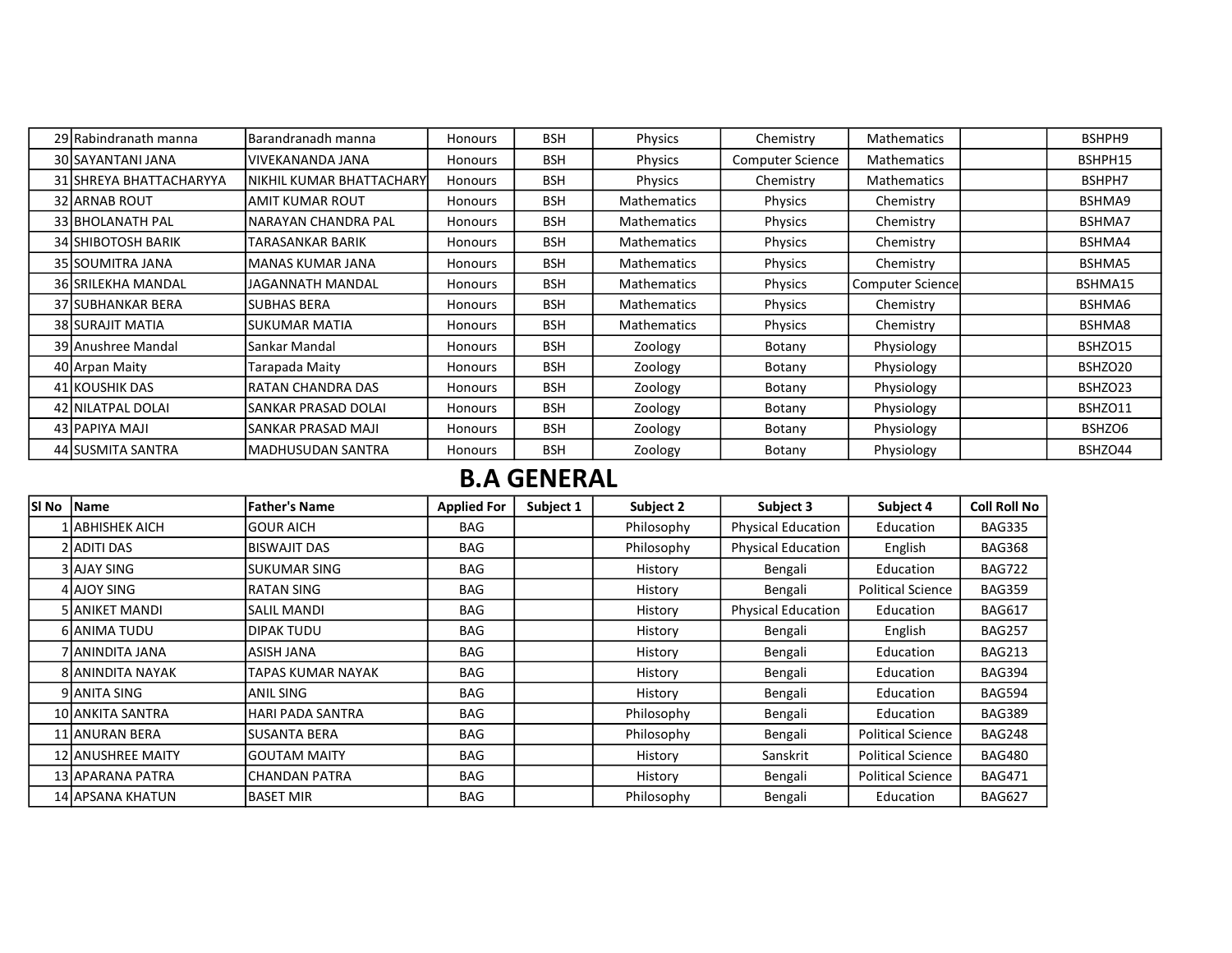| 29 Rabindranath manna     | Barandranadh manna       | <b>Honours</b> | <b>BSH</b> | <b>Physics</b>     | Chemistry               | <b>Mathematics</b>      | BSHPH9  |
|---------------------------|--------------------------|----------------|------------|--------------------|-------------------------|-------------------------|---------|
| 30 SAYANTANI JANA         | VIVEKANANDA JANA         | <b>Honours</b> | <b>BSH</b> | <b>Physics</b>     | <b>Computer Science</b> | Mathematics             | BSHPH15 |
| 31 SHREYA BHATTACHARYYA   | NIKHIL KUMAR BHATTACHARY | <b>Honours</b> | <b>BSH</b> | Physics            | Chemistry               | Mathematics             | BSHPH7  |
| <b>32 JARNAB ROUT</b>     | IAMIT KUMAR ROUT         | Honours        | <b>BSH</b> | <b>Mathematics</b> | <b>Physics</b>          | Chemistry               | BSHMA9  |
| 33 BHOLANATH PAL          | NARAYAN CHANDRA PAL      | <b>Honours</b> | <b>BSH</b> | <b>Mathematics</b> | Physics                 | Chemistry               | BSHMA7  |
| <b>34 SHIBOTOSH BARIK</b> | TARASANKAR BARIK         | <b>Honours</b> | <b>BSH</b> | <b>Mathematics</b> | <b>Physics</b>          | Chemistry               | BSHMA4  |
| 35 SOUMITRA JANA          | <b>MANAS KUMAR JANA</b>  | Honours        | <b>BSH</b> | <b>Mathematics</b> | <b>Physics</b>          | Chemistry               | BSHMA5  |
| <b>36 SRILEKHA MANDAL</b> | JAGANNATH MANDAL         | <b>Honours</b> | <b>BSH</b> | <b>Mathematics</b> | <b>Physics</b>          | <b>Computer Science</b> | BSHMA15 |
| 37 ISUBHANKAR BERA        | <b>SUBHAS BERA</b>       | <b>Honours</b> | <b>BSH</b> | <b>Mathematics</b> | <b>Physics</b>          | Chemistry               | BSHMA6  |
| <b>38 SURAJIT MATIA</b>   | <b>SUKUMAR MATIA</b>     | Honours        | <b>BSH</b> | <b>Mathematics</b> | <b>Physics</b>          | Chemistry               | BSHMA8  |
| 39 Anushree Mandal        | Sankar Mandal            | <b>Honours</b> | <b>BSH</b> | Zoology            | Botany                  | Physiology              | BSHZO15 |
| 40 Arpan Maity            | Tarapada Maity           | <b>Honours</b> | <b>BSH</b> | Zoology            | Botany                  | Physiology              | BSHZO20 |
| 41 KOUSHIK DAS            | <b>RATAN CHANDRA DAS</b> | <b>Honours</b> | <b>BSH</b> | Zoology            | Botany                  | Physiology              | BSHZO23 |
| 42 NILATPAL DOLAI         | SANKAR PRASAD DOLAI      | <b>Honours</b> | <b>BSH</b> | Zoology            | Botany                  | Physiology              | BSHZO11 |
| 43 PAPIYA MAJI            | SANKAR PRASAD MAJI       | <b>Honours</b> | <b>BSH</b> | Zoology            | Botany                  | Physiology              | BSHZO6  |
| 44 SUSMITA SANTRA         | <b>MADHUSUDAN SANTRA</b> | Honours        | <b>BSH</b> | Zoology            | Botany                  | Physiology              | BSHZO44 |

## B.A GENERAL

| SI No | Name                     | <b>Father's Name</b> | <b>Applied For</b> | Subject 1 | Subject 2  | Subject 3                 | Subject 4                | <b>Coll Roll No</b> |
|-------|--------------------------|----------------------|--------------------|-----------|------------|---------------------------|--------------------------|---------------------|
|       | . labhishek aich         | lGOUR AICH           | <b>BAG</b>         |           | Philosophy | Physical Education        | Education                | <b>BAG335</b>       |
|       | 2 ADITI DAS              | <b>BISWAJIT DAS</b>  | <b>BAG</b>         |           | Philosophy | <b>Physical Education</b> | English                  | <b>BAG368</b>       |
|       | 3 AJAY SING              | ISUKUMAR SING        | <b>BAG</b>         |           | History    | Bengali                   | Education                | <b>BAG722</b>       |
|       | 4 AJOY SING              | IRATAN SING          | <b>BAG</b>         |           | History    | Bengali                   | <b>Political Science</b> | <b>BAG359</b>       |
|       | <b>5 JANIKET MANDI</b>   | İSALIL MANDI         | <b>BAG</b>         |           | History    | <b>Physical Education</b> | Education                | <b>BAG617</b>       |
|       | 6 ANIMA TUDU             | <b>DIPAK TUDU</b>    | <b>BAG</b>         |           | History    | Bengali                   | English                  | <b>BAG257</b>       |
|       | 7 JANINDITA JANA         | IASISH JANA          | <b>BAG</b>         |           | History    | Bengali                   | Education                | <b>BAG213</b>       |
|       | <b>8 JANINDITA NAYAK</b> | TAPAS KUMAR NAYAK    | <b>BAG</b>         |           | History    | Bengali                   | Education                | <b>BAG394</b>       |
|       | 9 JANITA SING            | ANIL SING            | <b>BAG</b>         |           | History    | Bengali                   | Education                | <b>BAG594</b>       |
|       | 10 ANKITA SANTRA         | HARI PADA SANTRA     | <b>BAG</b>         |           | Philosophy | Bengali                   | Education                | <b>BAG389</b>       |
|       | 11 ANURAN BERA           | lSUSANTA BERA        | <b>BAG</b>         |           | Philosophy | Bengali                   | <b>Political Science</b> | <b>BAG248</b>       |
|       | <b>12 ANUSHREE MAITY</b> | lgoutam maity        | <b>BAG</b>         |           | History    | Sanskrit                  | <b>Political Science</b> | <b>BAG480</b>       |
|       | 13 APARANA PATRA         | ICHANDAN PATRA       | <b>BAG</b>         |           | History    | Bengali                   | <b>Political Science</b> | <b>BAG471</b>       |
|       | 14 APSANA KHATUN         | IBASET MIR           | <b>BAG</b>         |           | Philosophy | Bengali                   | Education                | <b>BAG627</b>       |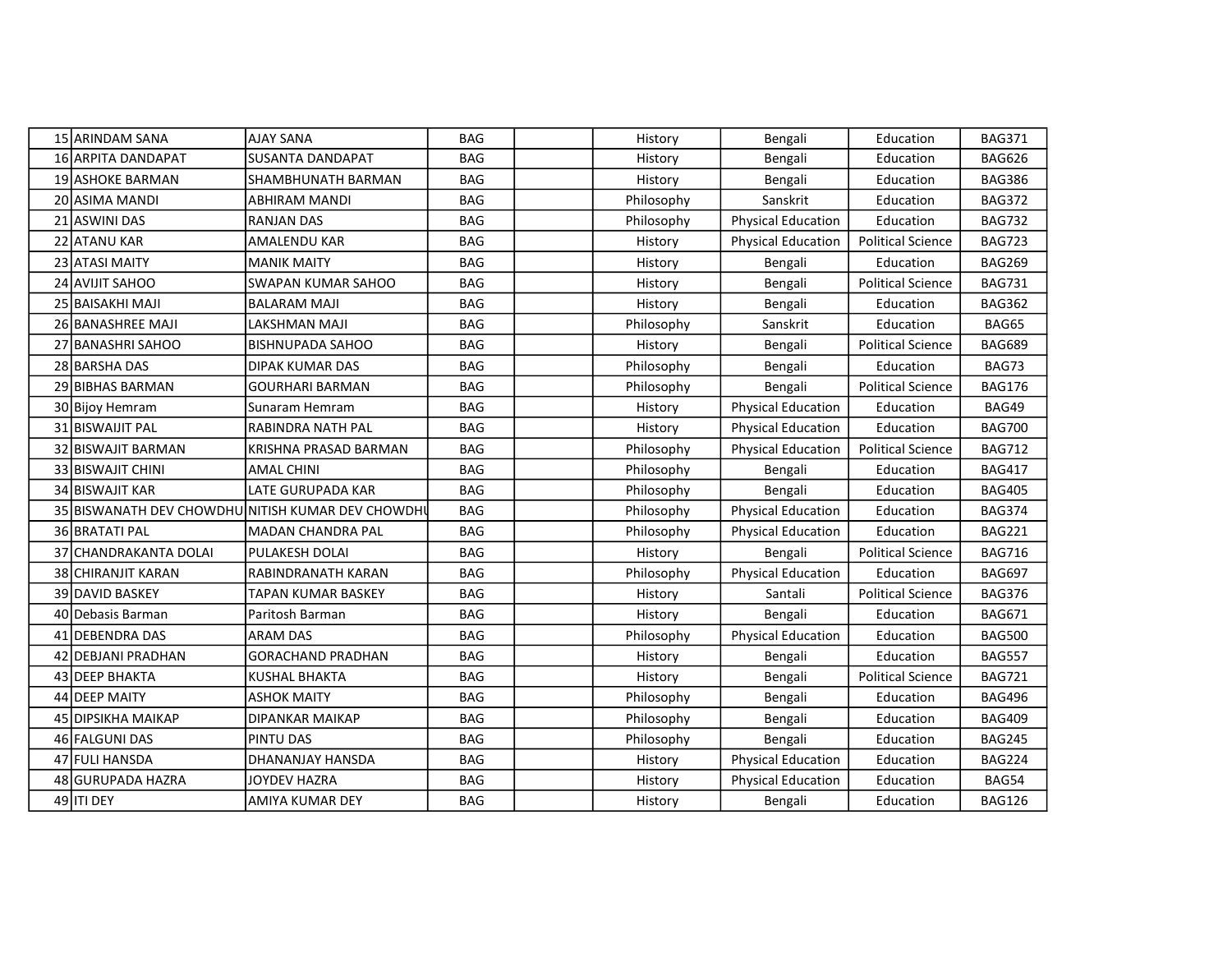| 15 ARINDAM SANA         | <b>AJAY SANA</b>                                  | <b>BAG</b> | History    | Bengali                   | Education                | <b>BAG371</b> |
|-------------------------|---------------------------------------------------|------------|------------|---------------------------|--------------------------|---------------|
| 16 ARPITA DANDAPAT      | <b>SUSANTA DANDAPAT</b>                           | <b>BAG</b> | History    | Bengali                   | Education                | <b>BAG626</b> |
| <b>19 ASHOKE BARMAN</b> | SHAMBHUNATH BARMAN                                | <b>BAG</b> | History    | Bengali                   | Education                | <b>BAG386</b> |
| 20 ASIMA MANDI          | ABHIRAM MANDI                                     | <b>BAG</b> | Philosophy | Sanskrit                  | Education                | <b>BAG372</b> |
| 21 ASWINI DAS           | RANJAN DAS                                        | <b>BAG</b> | Philosophy | <b>Physical Education</b> | Education                | <b>BAG732</b> |
| 22 ATANU KAR            | <b>AMALENDU KAR</b>                               | <b>BAG</b> | History    | <b>Physical Education</b> | <b>Political Science</b> | <b>BAG723</b> |
| 23 ATASI MAITY          | <b>MANIK MAITY</b>                                | <b>BAG</b> | History    | Bengali                   | Education                | <b>BAG269</b> |
| 24 AVIJIT SAHOO         | SWAPAN KUMAR SAHOO                                | <b>BAG</b> | History    | Bengali                   | <b>Political Science</b> | <b>BAG731</b> |
| 25 BAISAKHI MAJI        | <b>BALARAM MAJI</b>                               | <b>BAG</b> | History    | Bengali                   | Education                | <b>BAG362</b> |
| 26 BANASHREE MAJI       | <b>LAKSHMAN MAJI</b>                              | <b>BAG</b> | Philosophy | Sanskrit                  | Education                | BAG65         |
| 27 BANASHRI SAHOO       | <b>BISHNUPADA SAHOO</b>                           | <b>BAG</b> | History    | Bengali                   | <b>Political Science</b> | <b>BAG689</b> |
| 28 BARSHA DAS           | DIPAK KUMAR DAS                                   | <b>BAG</b> | Philosophy | Bengali                   | Education                | BAG73         |
| 29 BIBHAS BARMAN        | <b>GOURHARI BARMAN</b>                            | <b>BAG</b> | Philosophy | Bengali                   | <b>Political Science</b> | <b>BAG176</b> |
| 30 Bijoy Hemram         | Sunaram Hemram                                    | <b>BAG</b> | History    | <b>Physical Education</b> | Education                | BAG49         |
| 31 BISWAIJIT PAL        | RABINDRA NATH PAL                                 | <b>BAG</b> | History    | <b>Physical Education</b> | Education                | <b>BAG700</b> |
| 32 BISWAJIT BARMAN      | KRISHNA PRASAD BARMAN                             | <b>BAG</b> | Philosophy | <b>Physical Education</b> | <b>Political Science</b> | <b>BAG712</b> |
| 33 BISWAJIT CHINI       | <b>AMAL CHINI</b>                                 | <b>BAG</b> | Philosophy | Bengali                   | Education                | <b>BAG417</b> |
| 34 BISWAJIT KAR         | LATE GURUPADA KAR                                 | <b>BAG</b> | Philosophy | Bengali                   | Education                | <b>BAG405</b> |
|                         | 35 BISWANATH DEV CHOWDHU NITISH KUMAR DEV CHOWDHU | <b>BAG</b> | Philosophy | <b>Physical Education</b> | Education                | <b>BAG374</b> |
| 36 BRATATI PAL          | MADAN CHANDRA PAL                                 | <b>BAG</b> | Philosophy | <b>Physical Education</b> | Education                | <b>BAG221</b> |
| 37 CHANDRAKANTA DOLAI   | PULAKESH DOLAI                                    | <b>BAG</b> | History    | Bengali                   | <b>Political Science</b> | <b>BAG716</b> |
| 38 CHIRANJIT KARAN      | RABINDRANATH KARAN                                | <b>BAG</b> | Philosophy | <b>Physical Education</b> | Education                | <b>BAG697</b> |
| 39 DAVID BASKEY         | TAPAN KUMAR BASKEY                                | <b>BAG</b> | History    | Santali                   | <b>Political Science</b> | <b>BAG376</b> |
| 40 Debasis Barman       | Paritosh Barman                                   | <b>BAG</b> | History    | Bengali                   | Education                | <b>BAG671</b> |
| 41 DEBENDRA DAS         | <b>ARAM DAS</b>                                   | <b>BAG</b> | Philosophy | <b>Physical Education</b> | Education                | <b>BAG500</b> |
| 42 DEBJANI PRADHAN      | <b>GORACHAND PRADHAN</b>                          | <b>BAG</b> | History    | Bengali                   | Education                | <b>BAG557</b> |
| 43 DEEP BHAKTA          | <b>KUSHAL BHAKTA</b>                              | <b>BAG</b> | History    | Bengali                   | <b>Political Science</b> | <b>BAG721</b> |
| 44 DEEP MAITY           | <b>ASHOK MAITY</b>                                | <b>BAG</b> | Philosophy | Bengali                   | Education                | <b>BAG496</b> |
| 45 DIPSIKHA MAIKAP      | DIPANKAR MAIKAP                                   | <b>BAG</b> | Philosophy | Bengali                   | Education                | <b>BAG409</b> |
| 46 FALGUNI DAS          | PINTU DAS                                         | <b>BAG</b> | Philosophy | Bengali                   | Education                | <b>BAG245</b> |
| 47 FULI HANSDA          | DHANANJAY HANSDA                                  | <b>BAG</b> | History    | <b>Physical Education</b> | Education                | <b>BAG224</b> |
| 48 GURUPADA HAZRA       | JOYDEV HAZRA                                      | <b>BAG</b> | History    | <b>Physical Education</b> | Education                | BAG54         |
| 49 ITI DEY              | AMIYA KUMAR DEY                                   | <b>BAG</b> | History    | Bengali                   | Education                | <b>BAG126</b> |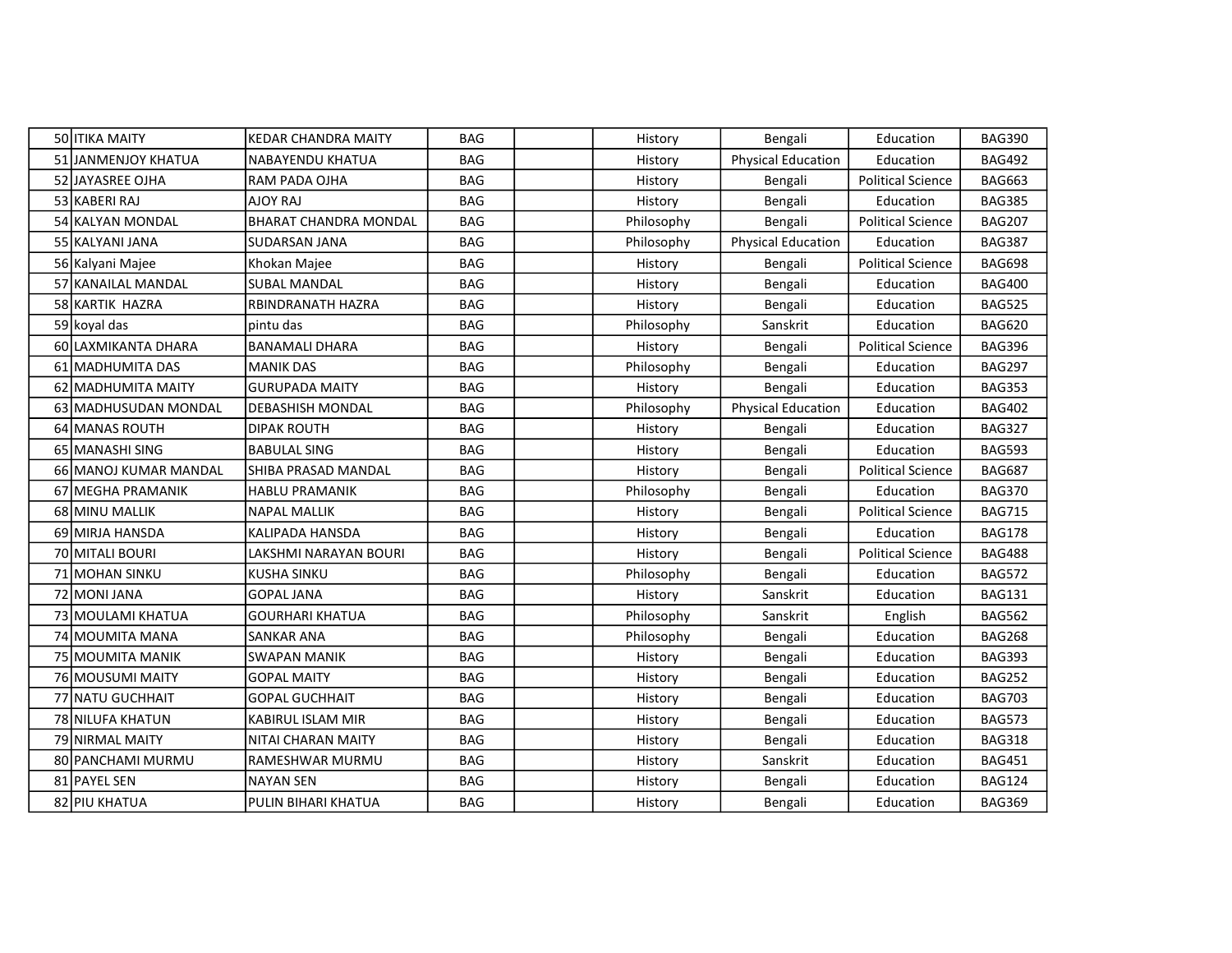| 50 ITIKA MAITY        | <b>KEDAR CHANDRA MAITY</b>   | BAG        | History    | Bengali                   | Education                | <b>BAG390</b> |
|-----------------------|------------------------------|------------|------------|---------------------------|--------------------------|---------------|
| 51 JANMENJOY KHATUA   | <b>NABAYENDU KHATUA</b>      | <b>BAG</b> | History    | <b>Physical Education</b> | Education                | <b>BAG492</b> |
| 52 IJAYASREE OJHA     | RAM PADA OJHA                | <b>BAG</b> | History    | Bengali                   | <b>Political Science</b> | <b>BAG663</b> |
| 53 KABERI RAJ         | AJOY RAJ                     | <b>BAG</b> | History    | Bengali                   | Education                | <b>BAG385</b> |
| 54 KALYAN MONDAL      | BHARAT CHANDRA MONDAL        | <b>BAG</b> | Philosophy | Bengali                   | <b>Political Science</b> | <b>BAG207</b> |
| 55 KALYANI JANA       | SUDARSAN JANA                | <b>BAG</b> | Philosophy | Physical Education        | Education                | <b>BAG387</b> |
| 56 Kalyani Majee      | Khokan Majee                 | <b>BAG</b> | History    | Bengali                   | <b>Political Science</b> | <b>BAG698</b> |
| 57 KANAILAL MANDAL    | <b>SUBAL MANDAL</b>          | <b>BAG</b> | History    | Bengali                   | Education                | <b>BAG400</b> |
| 58 KARTIK HAZRA       | RBINDRANATH HAZRA            | <b>BAG</b> | History    | Bengali                   | Education                | <b>BAG525</b> |
| 59 koyal das          | pintu das                    | <b>BAG</b> | Philosophy | Sanskrit                  | Education                | <b>BAG620</b> |
| 60 LAXMIKANTA DHARA   | <b>BANAMALI DHARA</b>        | <b>BAG</b> | History    | Bengali                   | <b>Political Science</b> | <b>BAG396</b> |
| 61 MADHUMITA DAS      | <b>MANIK DAS</b>             | <b>BAG</b> | Philosophy | Bengali                   | Education                | <b>BAG297</b> |
| 62 MADHUMITA MAITY    | <b>GURUPADA MAITY</b>        | <b>BAG</b> | History    | Bengali                   | Education                | <b>BAG353</b> |
| 63 MADHUSUDAN MONDAL  | <b>DEBASHISH MONDAL</b>      | <b>BAG</b> | Philosophy | Physical Education        | Education                | <b>BAG402</b> |
| 64 MANAS ROUTH        | <b>DIPAK ROUTH</b>           | <b>BAG</b> | History    | Bengali                   | Education                | <b>BAG327</b> |
| 65 MANASHI SING       | BABULAL SING                 | <b>BAG</b> | History    | Bengali                   | Education                | <b>BAG593</b> |
| 66 MANOJ KUMAR MANDAL | SHIBA PRASAD MANDAL          | <b>BAG</b> | History    | Bengali                   | <b>Political Science</b> | <b>BAG687</b> |
| 67 MEGHA PRAMANIK     | HABLU PRAMANIK               | <b>BAG</b> | Philosophy | Bengali                   | Education                | <b>BAG370</b> |
| 68 MINU MALLIK        | <b>NAPAL MALLIK</b>          | <b>BAG</b> | History    | Bengali                   | <b>Political Science</b> | <b>BAG715</b> |
| 69 MIRJA HANSDA       | KALIPADA HANSDA              | <b>BAG</b> | History    | Bengali                   | Education                | <b>BAG178</b> |
| 70 MITALI BOURI       | <b>LAKSHMI NARAYAN BOURI</b> | <b>BAG</b> | History    | Bengali                   | <b>Political Science</b> | <b>BAG488</b> |
| 71 MOHAN SINKU        | <b>KUSHA SINKU</b>           | <b>BAG</b> | Philosophy | Bengali                   | Education                | <b>BAG572</b> |
| 72 MONI JANA          | <b>GOPAL JANA</b>            | <b>BAG</b> | History    | Sanskrit                  | Education                | <b>BAG131</b> |
| 73 MOULAMI KHATUA     | <b>GOURHARI KHATUA</b>       | <b>BAG</b> | Philosophy | Sanskrit                  | English                  | <b>BAG562</b> |
| 74 MOUMITA MANA       | <b>SANKAR ANA</b>            | <b>BAG</b> | Philosophy | Bengali                   | Education                | <b>BAG268</b> |
| 75 MOUMITA MANIK      | SWAPAN MANIK                 | <b>BAG</b> | History    | Bengali                   | Education                | <b>BAG393</b> |
| 76 MOUSUMI MAITY      | <b>GOPAL MAITY</b>           | <b>BAG</b> | History    | Bengali                   | Education                | <b>BAG252</b> |
| 77 INATU GUCHHAIT     | <b>GOPAL GUCHHAIT</b>        | <b>BAG</b> | History    | Bengali                   | Education                | <b>BAG703</b> |
| 78 NILUFA KHATUN      | <b>KABIRUL ISLAM MIR</b>     | <b>BAG</b> | History    | Bengali                   | Education                | <b>BAG573</b> |
| 79 NIRMAL MAITY       | NITAI CHARAN MAITY           | <b>BAG</b> | History    | Bengali                   | Education                | <b>BAG318</b> |
| 80 PANCHAMI MURMU     | RAMESHWAR MURMU              | <b>BAG</b> | History    | Sanskrit                  | Education                | <b>BAG451</b> |
| 81 PAYEL SEN          | <b>NAYAN SEN</b>             | <b>BAG</b> | History    | Bengali                   | Education                | <b>BAG124</b> |
| 82 PIU KHATUA         | PULIN BIHARI KHATUA          | <b>BAG</b> | History    | Bengali                   | Education                | <b>BAG369</b> |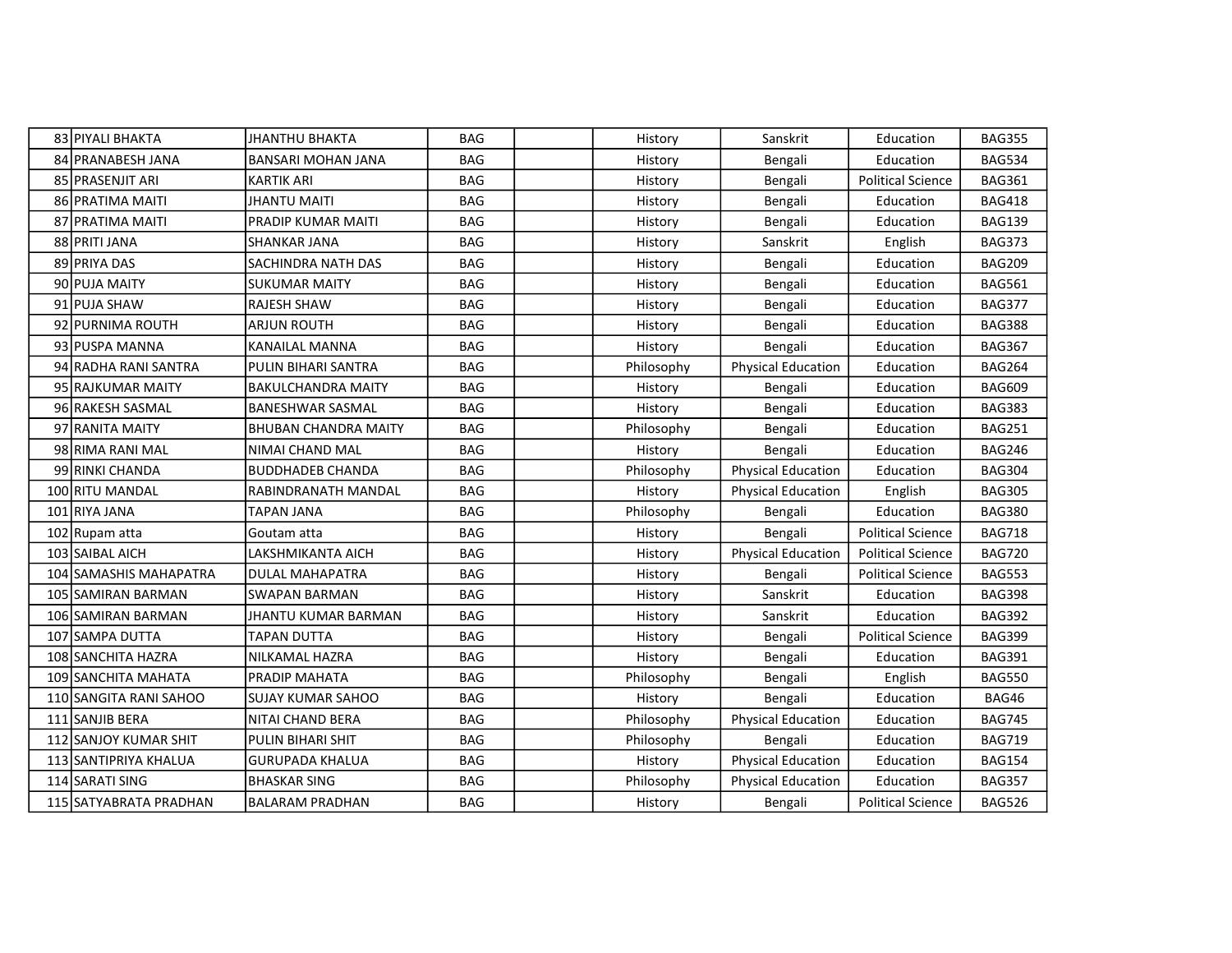| 83 PIYALI BHAKTA       | JHANTHU BHAKTA              | <b>BAG</b> | History    | Sanskrit                  | Education                | <b>BAG355</b> |
|------------------------|-----------------------------|------------|------------|---------------------------|--------------------------|---------------|
| 84 PRANABESH JANA      | <b>BANSARI MOHAN JANA</b>   | <b>BAG</b> | History    | Bengali                   | Education                | <b>BAG534</b> |
| 85 IPRASENJIT ARI      | <b>KARTIK ARI</b>           | <b>BAG</b> | History    | Bengali                   | <b>Political Science</b> | <b>BAG361</b> |
| 86 PRATIMA MAITI       | JHANTU MAITI                | <b>BAG</b> | History    | Bengali                   | Education                | <b>BAG418</b> |
| 87   PRATIMA MAITI     | PRADIP KUMAR MAITI          | <b>BAG</b> | History    | Bengali                   | Education                | <b>BAG139</b> |
| 88 PRITI JANA          | <b>SHANKAR JANA</b>         | <b>BAG</b> | History    | Sanskrit                  | English                  | <b>BAG373</b> |
| 89 PRIYA DAS           | SACHINDRA NATH DAS          | <b>BAG</b> | History    | Bengali                   | Education                | <b>BAG209</b> |
| 90 PUJA MAITY          | <b>SUKUMAR MAITY</b>        | <b>BAG</b> | History    | Bengali                   | Education                | <b>BAG561</b> |
| 91 PUJA SHAW           | RAJESH SHAW                 | <b>BAG</b> | History    | Bengali                   | Education                | <b>BAG377</b> |
| 92 PURNIMA ROUTH       | <b>ARJUN ROUTH</b>          | <b>BAG</b> | History    | Bengali                   | Education                | <b>BAG388</b> |
| 93 PUSPA MANNA         | KANAILAL MANNA              | <b>BAG</b> | History    | Bengali                   | Education                | <b>BAG367</b> |
| 94 RADHA RANI SANTRA   | PULIN BIHARI SANTRA         | <b>BAG</b> | Philosophy | <b>Physical Education</b> | Education                | <b>BAG264</b> |
| 95 RAJKUMAR MAITY      | <b>BAKULCHANDRA MAITY</b>   | <b>BAG</b> | History    | Bengali                   | Education                | <b>BAG609</b> |
| 96 RAKESH SASMAL       | <b>BANESHWAR SASMAL</b>     | <b>BAG</b> | History    | Bengali                   | Education                | <b>BAG383</b> |
| 97 IRANITA MAITY       | <b>BHUBAN CHANDRA MAITY</b> | <b>BAG</b> | Philosophy | Bengali                   | Education                | <b>BAG251</b> |
| 98 RIMA RANI MAL       | NIMAI CHAND MAL             | <b>BAG</b> | History    | Bengali                   | Education                | <b>BAG246</b> |
| 99 RINKI CHANDA        | <b>BUDDHADEB CHANDA</b>     | <b>BAG</b> | Philosophy | <b>Physical Education</b> | Education                | <b>BAG304</b> |
| 100 RITU MANDAL        | RABINDRANATH MANDAL         | <b>BAG</b> | History    | <b>Physical Education</b> | English                  | <b>BAG305</b> |
| 101 RIYA JANA          | TAPAN JANA                  | <b>BAG</b> | Philosophy | Bengali                   | Education                | <b>BAG380</b> |
| 102 Rupam atta         | Goutam atta                 | <b>BAG</b> | History    | Bengali                   | <b>Political Science</b> | <b>BAG718</b> |
| 103 SAIBAL AICH        | LAKSHMIKANTA AICH           | <b>BAG</b> | History    | <b>Physical Education</b> | <b>Political Science</b> | <b>BAG720</b> |
| 104 SAMASHIS MAHAPATRA | DULAL MAHAPATRA             | <b>BAG</b> | History    | Bengali                   | <b>Political Science</b> | <b>BAG553</b> |
| 105 SAMIRAN BARMAN     | SWAPAN BARMAN               | <b>BAG</b> | History    | Sanskrit                  | Education                | <b>BAG398</b> |
| 106 SAMIRAN BARMAN     | JHANTU KUMAR BARMAN         | <b>BAG</b> | History    | Sanskrit                  | Education                | <b>BAG392</b> |
| 107 SAMPA DUTTA        | <b>TAPAN DUTTA</b>          | <b>BAG</b> | History    | Bengali                   | <b>Political Science</b> | <b>BAG399</b> |
| 108 SANCHITA HAZRA     | NILKAMAL HAZRA              | <b>BAG</b> | History    | Bengali                   | Education                | <b>BAG391</b> |
| 109 SANCHITA MAHATA    | PRADIP MAHATA               | <b>BAG</b> | Philosophy | Bengali                   | English                  | <b>BAG550</b> |
| 110 SANGITA RANI SAHOO | SUJAY KUMAR SAHOO           | <b>BAG</b> | History    | Bengali                   | Education                | BAG46         |
| 111 SANJIB BERA        | NITAI CHAND BERA            | <b>BAG</b> | Philosophy | <b>Physical Education</b> | Education                | <b>BAG745</b> |
| 112 SANJOY KUMAR SHIT  | PULIN BIHARI SHIT           | <b>BAG</b> | Philosophy | Bengali                   | Education                | <b>BAG719</b> |
| 113 SANTIPRIYA KHALUA  | <b>GURUPADA KHALUA</b>      | <b>BAG</b> | History    | <b>Physical Education</b> | Education                | <b>BAG154</b> |
| 114 SARATI SING        | <b>BHASKAR SING</b>         | <b>BAG</b> | Philosophy | <b>Physical Education</b> | Education                | <b>BAG357</b> |
| 115 SATYABRATA PRADHAN | <b>BALARAM PRADHAN</b>      | <b>BAG</b> | History    | Bengali                   | <b>Political Science</b> | <b>BAG526</b> |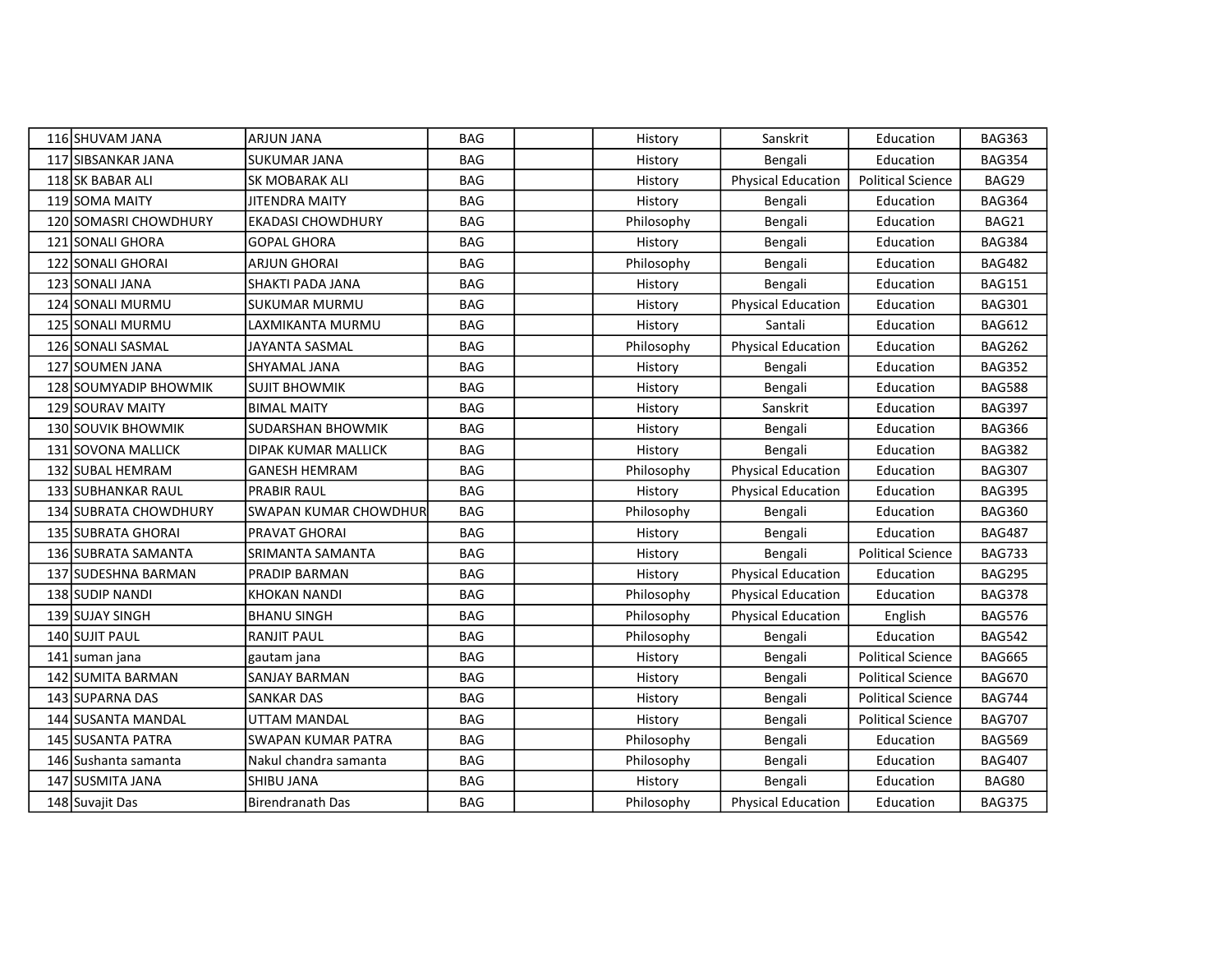| 116 SHUVAM JANA           | <b>ARJUN JANA</b>         | BAG        | History    | Sanskrit                  | Education                | <b>BAG363</b> |
|---------------------------|---------------------------|------------|------------|---------------------------|--------------------------|---------------|
| 117 SIBSANKAR JANA        | <b>SUKUMAR JANA</b>       | <b>BAG</b> | History    | Bengali                   | Education                | <b>BAG354</b> |
| 118 SK BABAR ALI          | <b>SK MOBARAK ALI</b>     | BAG        | History    | <b>Physical Education</b> | <b>Political Science</b> | BAG29         |
| 119 SOMA MAITY            | JITENDRA MAITY            | <b>BAG</b> | History    | Bengali                   | Education                | <b>BAG364</b> |
| 120 SOMASRI CHOWDHURY     | <b>EKADASI CHOWDHURY</b>  | <b>BAG</b> | Philosophy | Bengali                   | Education                | BAG21         |
| 121 SONALI GHORA          | <b>GOPAL GHORA</b>        | <b>BAG</b> | History    | Bengali                   | Education                | <b>BAG384</b> |
| 122 SONALI GHORAI         | ARJUN GHORAI              | <b>BAG</b> | Philosophy | Bengali                   | Education                | <b>BAG482</b> |
| 123 SONALI JANA           | SHAKTI PADA JANA          | <b>BAG</b> | History    | Bengali                   | Education                | <b>BAG151</b> |
| 124 SONALI MURMU          | <b>SUKUMAR MURMU</b>      | <b>BAG</b> | History    | <b>Physical Education</b> | Education                | <b>BAG301</b> |
| 125 SONALI MURMU          | LAXMIKANTA MURMU          | <b>BAG</b> | History    | Santali                   | Education                | <b>BAG612</b> |
| 126 SONALI SASMAL         | JAYANTA SASMAL            | <b>BAG</b> | Philosophy | <b>Physical Education</b> | Education                | <b>BAG262</b> |
| 127 SOUMEN JANA           | SHYAMAL JANA              | <b>BAG</b> | History    | Bengali                   | Education                | <b>BAG352</b> |
| 128 SOUMYADIP BHOWMIK     | <b>SUJIT BHOWMIK</b>      | <b>BAG</b> | History    | Bengali                   | Education                | <b>BAG588</b> |
| <b>129 SOURAV MAITY</b>   | <b>BIMAL MAITY</b>        | <b>BAG</b> | History    | Sanskrit                  | Education                | <b>BAG397</b> |
| <b>130 SOUVIK BHOWMIK</b> | <b>SUDARSHAN BHOWMIK</b>  | <b>BAG</b> | History    | Bengali                   | Education                | <b>BAG366</b> |
| 131 SOVONA MALLICK        | DIPAK KUMAR MALLICK       | <b>BAG</b> | History    | Bengali                   | Education                | <b>BAG382</b> |
| 132 SUBAL HEMRAM          | <b>GANESH HEMRAM</b>      | <b>BAG</b> | Philosophy | <b>Physical Education</b> | Education                | <b>BAG307</b> |
| 133 SUBHANKAR RAUL        | <b>PRABIR RAUL</b>        | <b>BAG</b> | History    | <b>Physical Education</b> | Education                | <b>BAG395</b> |
| 134 SUBRATA CHOWDHURY     | SWAPAN KUMAR CHOWDHUR     | <b>BAG</b> | Philosophy | Bengali                   | Education                | <b>BAG360</b> |
| 135 SUBRATA GHORAI        | PRAVAT GHORAI             | <b>BAG</b> | History    | Bengali                   | Education                | <b>BAG487</b> |
| 136 SUBRATA SAMANTA       | SRIMANTA SAMANTA          | BAG        | History    | Bengali                   | <b>Political Science</b> | <b>BAG733</b> |
| 137 SUDESHNA BARMAN       | <b>PRADIP BARMAN</b>      | <b>BAG</b> | History    | Physical Education        | Education                | <b>BAG295</b> |
| 138 SUDIP NANDI           | <b>KHOKAN NANDI</b>       | <b>BAG</b> | Philosophy | <b>Physical Education</b> | Education                | <b>BAG378</b> |
| 139 SUJAY SINGH           | <b>BHANU SINGH</b>        | <b>BAG</b> | Philosophy | <b>Physical Education</b> | English                  | <b>BAG576</b> |
| 140 SUJIT PAUL            | <b>RANJIT PAUL</b>        | <b>BAG</b> | Philosophy | Bengali                   | Education                | <b>BAG542</b> |
| 141 suman jana            | gautam jana               | <b>BAG</b> | History    | Bengali                   | <b>Political Science</b> | <b>BAG665</b> |
| 142 SUMITA BARMAN         | SANJAY BARMAN             | <b>BAG</b> | History    | Bengali                   | <b>Political Science</b> | <b>BAG670</b> |
| 143 SUPARNA DAS           | <b>SANKAR DAS</b>         | <b>BAG</b> | History    | Bengali                   | <b>Political Science</b> | <b>BAG744</b> |
| 144 SUSANTA MANDAL        | UTTAM MANDAL              | <b>BAG</b> | History    | Bengali                   | <b>Political Science</b> | <b>BAG707</b> |
| 145 SUSANTA PATRA         | <b>SWAPAN KUMAR PATRA</b> | <b>BAG</b> | Philosophy | Bengali                   | Education                | <b>BAG569</b> |
| 146 Sushanta samanta      | Nakul chandra samanta     | <b>BAG</b> | Philosophy | Bengali                   | Education                | <b>BAG407</b> |
| 147 SUSMITA JANA          | <b>SHIBU JANA</b>         | <b>BAG</b> | History    | Bengali                   | Education                | <b>BAG80</b>  |
| 148 Suvajit Das           | Birendranath Das          | <b>BAG</b> | Philosophy | <b>Physical Education</b> | Education                | <b>BAG375</b> |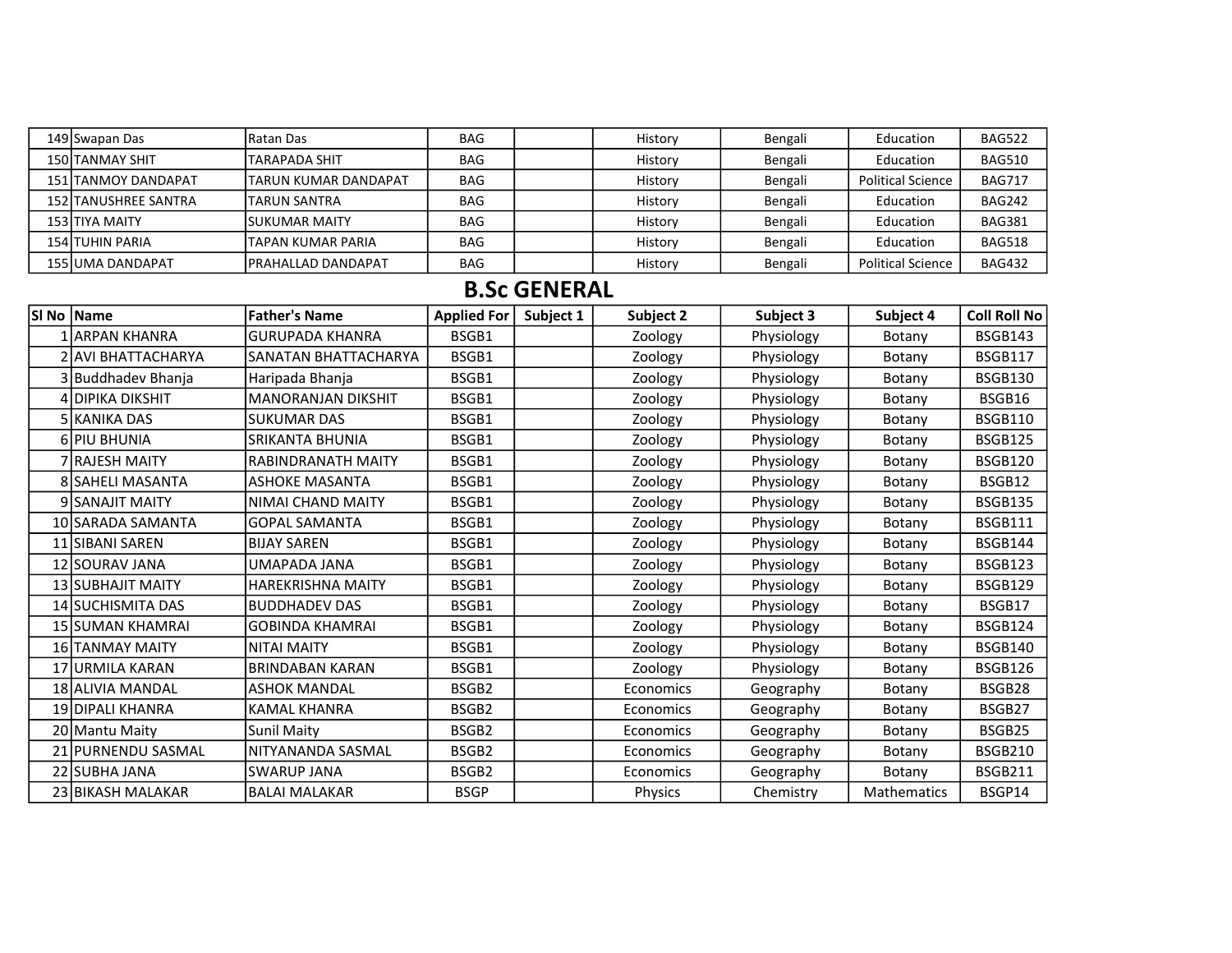| 149 Swapan Das              | <b>IRatan Das</b>            | <b>BAG</b> | History | Bengali | Education                | <b>BAG522</b> |
|-----------------------------|------------------------------|------------|---------|---------|--------------------------|---------------|
| <b>150 TANMAY SHIT</b>      | ITARAPADA SHIT               | <b>BAG</b> | History | Bengali | Education                | <b>BAG510</b> |
| 151 TANMOY DANDAPAT         | <b>ITARUN KUMAR DANDAPAT</b> | <b>BAG</b> | History | Bengali | <b>Political Science</b> | <b>BAG717</b> |
| <b>152 TANUSHREE SANTRA</b> | <b>ITARUN SANTRA</b>         | <b>BAG</b> | History | Bengali | Education                | <b>BAG242</b> |
| 153 TIYA MAITY              | <b>ISUKUMAR MAITY</b>        | <b>BAG</b> | History | Bengali | Education                | <b>BAG381</b> |
| <b>154 TUHIN PARIA</b>      | ITAPAN KUMAR PARIA           | <b>BAG</b> | History | Bengali | Education                | <b>BAG518</b> |
| 155 JUMA DANDAPAT           | <b>IPRAHALLAD DANDAPAT</b>   | <b>BAG</b> | History | Bengali | <b>Political Science</b> | <b>BAG432</b> |

## B.Sc GENERAL

| SI No   Name            | <b>Father's Name</b>        | <b>Applied For</b> | Subject 1 | Subject 2 | Subject 3  | Subject 4          | Coll Roll No   |
|-------------------------|-----------------------------|--------------------|-----------|-----------|------------|--------------------|----------------|
| ARPAN KHANRA!           | <b>GURUPADA KHANRA</b>      | BSGB1              |           | Zoology   | Physiology | Botany             | <b>BSGB143</b> |
| 2 AVI BHATTACHARYA      | <b>SANATAN BHATTACHARYA</b> | BSGB1              |           | Zoology   | Physiology | Botany             | <b>BSGB117</b> |
| 3 Buddhadev Bhanja      | Haripada Bhanja             | BSGB1              |           | Zoology   | Physiology | Botany             | <b>BSGB130</b> |
| 4 DIPIKA DIKSHIT        | <b>MANORANJAN DIKSHIT</b>   | BSGB1              |           | Zoology   | Physiology | Botany             | BSGB16         |
| 5 KANIKA DAS            | lsukumar das                | BSGB1              |           | Zoology   | Physiology | Botany             | <b>BSGB110</b> |
| 6lPIU BHUNIA            | <b>SRIKANTA BHUNIA</b>      | BSGB1              |           | Zoology   | Physiology | Botany             | <b>BSGB125</b> |
| 7 RAJESH MAITY          | <b>RABINDRANATH MAITY</b>   | BSGB1              |           | Zoology   | Physiology | Botany             | <b>BSGB120</b> |
| <b>8 SAHELI MASANTA</b> | <b>ASHOKE MASANTA</b>       | BSGB1              |           | Zoology   | Physiology | Botany             | BSGB12         |
| 9 SANAJIT MAITY         | NIMAI CHAND MAITY           | BSGB1              |           | Zoology   | Physiology | Botany             | <b>BSGB135</b> |
| 10 SARADA SAMANTA       | <b>GOPAL SAMANTA</b>        | BSGB1              |           | Zoology   | Physiology | Botany             | <b>BSGB111</b> |
| 11 SIBANI SAREN         | IBIJAY SAREN                | BSGB1              |           | Zoology   | Physiology | Botany             | BSGB144        |
| 12 SOURAV JANA          | UMAPADA JANA                | BSGB1              |           | Zoology   | Physiology | Botany             | <b>BSGB123</b> |
| 13 SUBHAJIT MAITY       | <b>HAREKRISHNA MAITY</b>    | BSGB1              |           | Zoology   | Physiology | Botany             | <b>BSGB129</b> |
| 14 SUCHISMITA DAS       | <b>BUDDHADEV DAS</b>        | BSGB1              |           | Zoology   | Physiology | Botany             | BSGB17         |
| <b>15 SUMAN KHAMRAI</b> | lGOBINDA KHAMRAI            | BSGB1              |           | Zoology   | Physiology | Botany             | <b>BSGB124</b> |
| 16 TANMAY MAITY         | INITAI MAITY                | BSGB1              |           | Zoology   | Physiology | Botany             | BSGB140        |
| 17 URMILA KARAN         | <b>BRINDABAN KARAN</b>      | BSGB1              |           | Zoology   | Physiology | Botany             | <b>BSGB126</b> |
| 18 ALIVIA MANDAL        | <b>ASHOK MANDAL</b>         | BSGB <sub>2</sub>  |           | Economics | Geography  | Botany             | BSGB28         |
| 19 DIPALI KHANRA        | <b>KAMAL KHANRA</b>         | BSGB2              |           | Economics | Geography  | Botany             | BSGB27         |
| 20 Mantu Maity          | <b>Sunil Maity</b>          | BSGB <sub>2</sub>  |           | Economics | Geography  | Botany             | BSGB25         |
| 21 PURNENDU SASMAL      | NITYANANDA SASMAL           | BSGB <sub>2</sub>  |           | Economics | Geography  | Botany             | <b>BSGB210</b> |
| 22 SUBHA JANA           | <b>SWARUP JANA</b>          | BSGB <sub>2</sub>  |           | Economics | Geography  | Botany             | <b>BSGB211</b> |
| 23 BIKASH MALAKAR       | lBALAI MALAKAR              | <b>BSGP</b>        |           | Physics   | Chemistry  | <b>Mathematics</b> | BSGP14         |